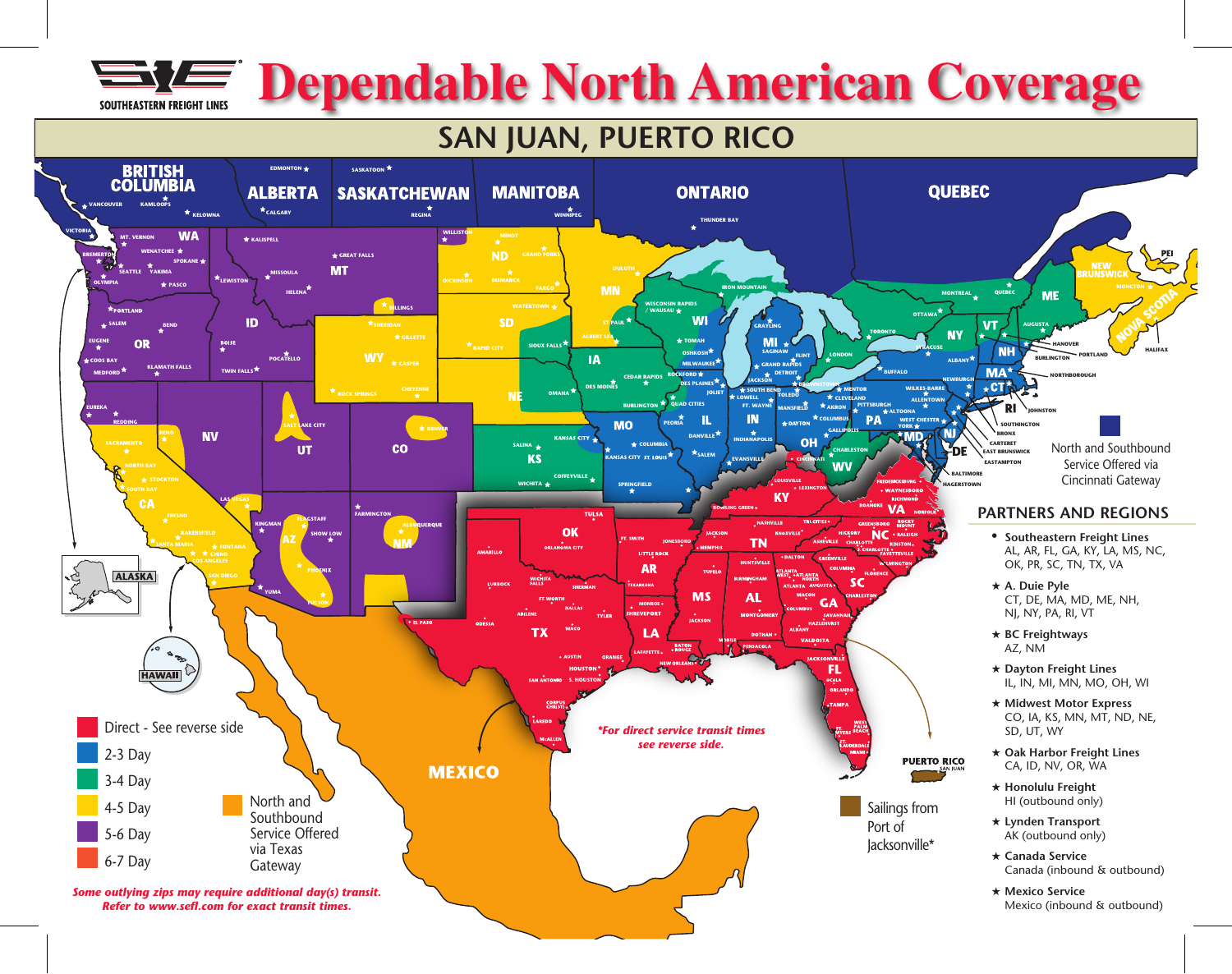

# **Dependable North American Coverage**

# **SAN JUAN, PUERTO RICO**